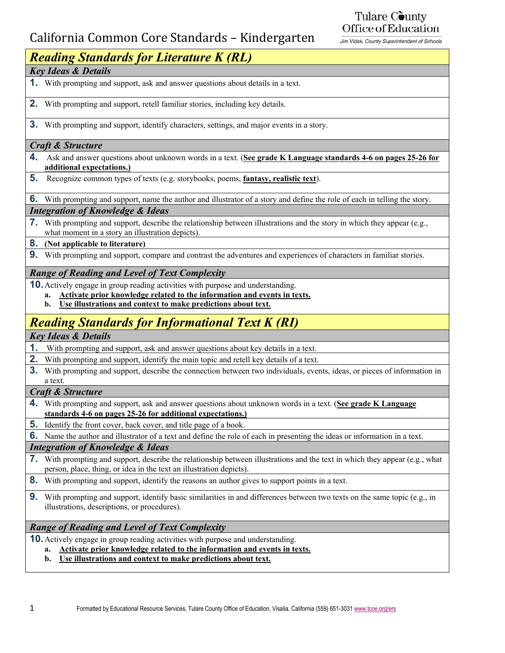## California Common Core Standards – Kindergarten

Tulare County Office of Education

Jim Vidak, County Superintendent of Schools

### *Reading Standards for Literature K (RL) Key Ideas & Details*

- **1.** With prompting and support, ask and answer questions about details in a text.
- **2.** With prompting and support, retell familiar stories, including key details.
- **3.** With prompting and support, identify characters, settings, and major events in a story.

#### *Craft & Structure*

- **4.** Ask and answer questions about unknown words in a text. (**See grade K Language standards 4-6 on pages 25-26 for additional expectations.)**
- **5.** Recognize common types of texts (e.g. storybooks, poems, **fantasy, realistic text**).

**6.** With prompting and support, name the author and illustrator of a story and define the role of each in telling the story.

#### *Integration of Knowledge & Ideas*

**7.** With prompting and support, describe the relationship between illustrations and the story in which they appear (e.g., what moment in a story an illustration depicts).

#### **8. (Not applicable to literature)**

**9.** With prompting and support, compare and contrast the adventures and experiences of characters in familiar stories.

#### *Range of Reading and Level of Text Complexity*

**10.** Actively engage in group reading activities with purpose and understanding.

- **a. Activate prior knowledge related to the information and events in texts.**
- **b. Use illustrations and context to make predictions about text.**

## *Reading Standards for Informational Text K (RI)*

*Key Ideas & Details*

- **1.** With prompting and support, ask and answer questions about key details in a text.
- **2.** With prompting and support, identify the main topic and retell key details of a text.
- **3.** With prompting and support, describe the connection between two individuals, events, ideas, or pieces of information in a text.
- *Craft & Structure*
- **4.** With prompting and support, ask and answer questions about unknown words in a text. (**See grade K Language standards 4-6 on pages 25-26 for additional expectations.)**
- **5.** Identify the front cover, back cover, and title page of a book.

**6.** Name the author and illustrator of a text and define the role of each in presenting the ideas or information in a text.

#### *Integration of Knowledge & Ideas*

- **7.** With prompting and support, describe the relationship between illustrations and the text in which they appear (e.g., what person, place, thing, or idea in the text an illustration depicts).
- **8.** With prompting and support, identify the reasons an author gives to support points in a text.
- **9.** With prompting and support, identify basic similarities in and differences between two texts on the same topic (e.g., in illustrations, descriptions, or procedures).

#### *Range of Reading and Level of Text Complexity*

**10.** Actively engage in group reading activities with purpose and understanding.

- **a. Activate prior knowledge related to the information and events in texts.**
- **b. Use illustrations and context to make predictions about text.**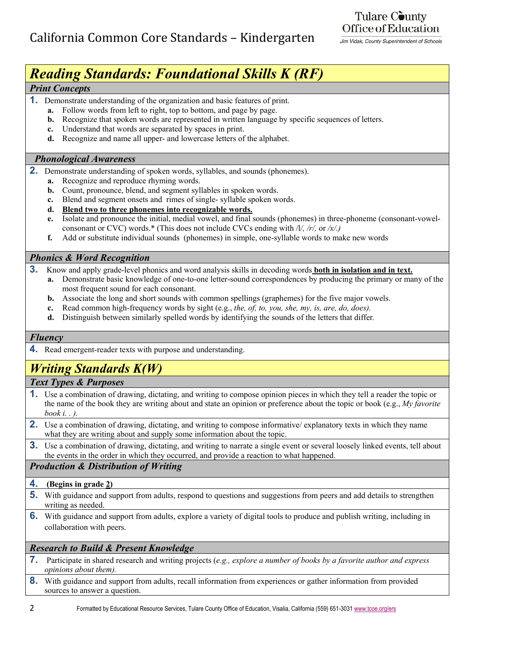### Tulare County Office of Education

Jim Vidak, County Superintendent of Schools

# *Reading Standards: Foundational Skills K (RF)*

#### *Print Concepts*

- **1.** Demonstrate understanding of the organization and basic features of print.
	- **a.** Follow words from left to right, top to bottom, and page by page.
	- **b.** Recognize that spoken words are represented in written language by specific sequences of letters.
	- **c.** Understand that words are separated by spaces in print.
	- **d.** Recognize and name all upper- and lowercase letters of the alphabet.

#### *Phonological Awareness*

- **2.** Demonstrate understanding of spoken words, syllables, and sounds (phonemes).
	- **a.** Recognize and reproduce rhyming words.
	- **b.** Count, pronounce, blend, and segment syllables in spoken words.
	- **c.** Blend and segment onsets and rimes of single- syllable spoken words.
	- **d. Blend two to three phonemes into recognizable words.**
	- **e.** Isolate and pronounce the initial, medial vowel, and final sounds (phonemes) in three-phoneme (consonant-vowelconsonant or CVC) words.\* (This does not include CVCs ending with /l*/, /r/,* or */x/.)*
	- **f.** Add or substitute individual sounds (phonemes) in simple, one-syllable words to make new words

#### *Phonics & Word Recognition*

- **3.** Know and apply grade-level phonics and word analysis skills in decoding words **both in isolation and in text.**
- **a.** Demonstrate basic knowledge of one-to-one letter-sound correspondences by producing the primary or many of the most frequent sound for each consonant.
	- **b.** Associate the long and short sounds with common spellings (graphemes) for the five major vowels.
	- **c.** Read common high-frequency words by sight (e.g., *the, of, to, you, she, my, is, are, do, does).*
	- **d.** Distinguish between similarly spelled words by identifying the sounds of the letters that differ*.*

#### *Fluency*

**4.** Read emergent-reader texts with purpose and understanding.

## *Writing Standards K(W)*

#### *Text Types & Purposes*

- **1.** Use a combination of drawing, dictating, and writing to compose opinion pieces in which they tell a reader the topic or the name of the book they are writing about and state an opinion or preference about the topic or book (e.g., *My favorite book i. . ).*
- **2.** Use a combination of drawing, dictating, and writing to compose informative/ explanatory texts in which they name what they are writing about and supply some information about the topic.
- **3.** Use a combination of drawing, dictating, and writing to narrate a single event or several loosely linked events, tell about the events in the order in which they occurred, and provide a reaction to what happened.

#### *Production & Distribution of Writing*

- **4. (Begins in grade 2)**
- **5.** With guidance and support from adults, respond to questions and suggestions from peers and add details to strengthen writing as needed.
- **6.** With guidance and support from adults, explore a variety of digital tools to produce and publish writing, including in collaboration with peers.

#### *Research to Build & Present Knowledge*

- **7.** Participate in shared research and writing projects (*e.g., explore a number of books by a favorite author and express opinions about them).*
- **8.** With guidance and support from adults, recall information from experiences or gather information from provided sources to answer a question.